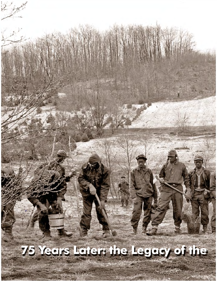## **75 Years Later: the Legacy of the**

"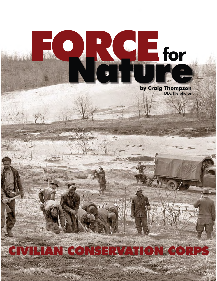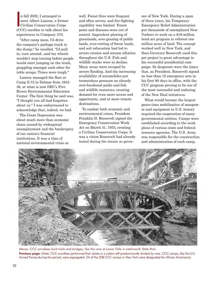man 2002, Farranged to<br>
meet Albert Lanoue, a forme<br>
Civilian Conservation Corps n fall 2002, I arranged to meet Albert Lanoue, a former (CCC) enrollee to talk about his experiences in Company 270.

"After camp mess, I'd drive the company's garbage truck to the dump," he recalled. "I'd pull in, turn around...and my wheels wouldn't stop turning before people would start jumping on the truck, grappling amongst each other for table scraps. Times were tough."

Lanoue managed the fleet at Camp S-72 in Delmar from 1933- 36, at what is now DEC's Five Rivers Environmental Education Center. The first thing he said was, "I thought you all had forgotten about us." I was embarrassed to acknowledge that, indeed, we had.

The Great Depression was about much more than economic chaos caused by widespread unemployment and the bankruptcy of our nation's financial institutions. It was a time of national environmental crisis as

well. Forest fires were frequent and often severe, and fire-fighting capability was limited. Forest pests and diseases were out of control. Imprudent plowing of grasslands, over-grazing of public lands, over-cutting of forest lands, and soil exhaustion had led to severe erosion and stream siltation throughout the U.S. Fish and wildlife stocks were in decline. Many areas were ravaged by severe flooding. And the increasing availability of automobiles put tremendous pressure on already over-burdened parks and fish and wildlife resources, creating demand for even more access and opportunity, and at more remote destinations.

To combat both economic and environmental crises, President Franklin D. Roosevelt signed the Emergency Conservation Work Act on March 31, 1933, creating a Civilian Conservation Corps. It was a vision Roosevelt had already tested during his tenure as gover-

 the most successful and enduring of the New Deal initiatives. nor of New York. During a span of three years, his Temporary Emergency Relief Administration put thousands of unemployed New Yorkers to work on a \$19-million bond act program to reforest one million acres of land. The concept worked well in New York, and then-Governor Roosevelt used this pet project to great advantage in his successful presidential campaign. So desperate were the times that, as President, Roosevelt signed no less than 15 emergency acts in his first 90 days in office, with the CCC program proving to be one of

What would become the largest peace-time mobilization of manpower and equipment in U.S. history required the cooperation of many governmental entities. Camps were established according to the work plans of various state and federal resource agencies. The U.S. Army was responsible for the construction and administration of each camp,



Above: CCC enrollees built trails and bridges, like this one at Lower Falls in Letchworth State Park. Previous page: (Note: CCC enrollees performed their duties in a nation still predominantly divided by race. CCC camps, like the U.S. Armed Forces during the period, were segregated. 24 of the 208 CCC camps in New York were designated for African Americans).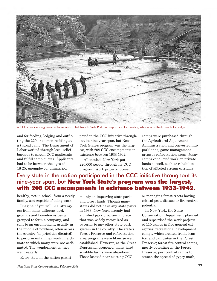

A CCC crew clearing trees on Table Rock at Letchworth State Park, in preparation for building what is now the Lower Falls Bridge.

and for feeding, lodging and outfitting the 220 or so men residing at a typical camp. The Department of Labor worked through local relief bureaus to screen CCC applicants and fulfill camp quotas. Applicants had to be between the ages of 18-25, unemployed, unmarried,

pated in the CCC initiative throughout its nine-year span, but New York State's program was the largest, with 208 CCC encampments in existence between 1933-1942.

 All totaled, New York put 220,000 people through its CCC program. Work projects focused

camps were purchased through the Agricultural Adjustment Administration and converted into parklands, game management areas or reforestation areas. Many camps conducted work on private lands as well, such as rehabilitation of affected stream corridors

## Every state in the nation participated in the CCC initiative throughout its nine-year span, but New York State's program was the largest, with 208 CCC encampments in existence between 1933-1942.

healthy, not in school, from a needy family, and capable of doing work.

Imagine, if you will, 200 strangers from many different backgrounds and hometowns being grouped to form a company, and sent to an encampment, usually in the middle of nowhere, often across the country (as priorities dictated) to perform unfamiliar work in a climate to which many were not acclimated. The wonderment is, they went eagerly.

Every state in the nation partici-

established. However, as the Great mainly on improving state parks and forest lands. Though many states did not have any state parks in 1933, New York already had a unified park program in place that was widely recognized as superior to any other state park system in the country. The state's Forest Preserve and reforestation area programs were likewise well Depression deepened, many hardscrabble farms were abandoned. Those located near existing CCC

or managing forest tracts having critical pest, disease or fire control potential.

In New York, the State Conservation Department planned and supervised the work projects of 115 camps in five general categories: recreational development camps, which created trails, leantos, and campsites in the Forest Preserve; forest fire control camps, mostly operating in the Forest Preserve; pest control camps to stanch the spread of gypsy moth,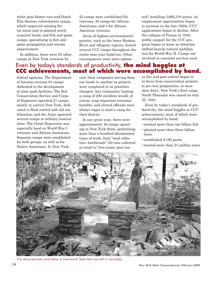white pine blister rust and Dutch Elm disease; reforestation camps, which improved existing forest areas and re-planted newly acquired lands; and fish and game camps, specializing in fish and game propagation and stream improvement.

In addition, there were 93 other camps in New York overseen by

22 camps were established for veterans, 20 camps for African-Americans, and 4 for African-American veterans.

Areas of highest environmental priority, such as the lower Hudson River and Allegany regions, hosted several CCC camps throughout the entire nine-year build-out. Other encampments were more ephemtrol" (totalling 3,692,318 acres). As employment opportunities began to increase in the late 1930s, CCC applications began to decline. After the collapse of France in 1940, public support for the CCC program began to wane as attention shifted heavily toward mobilization for World War II. Camps not involved in essential services such

## Even by today's standards of productivity, the mind boggles at CCC achievements, most of which were accomplished by hand.

federal agencies. The Department of Interior oversaw 61 camps dedicated to the development of state park facilities. The Soil Conservation Service and Corps of Engineers operated 21 camps, mostly in central New York, dedicated to flood control and soil stabilization; and the Army operated several camps at military reservations. The Great Depression was especially hard on World War I veterans and African-Americans. Separate camps were established for both groups, as well as for Native Americans. In New York,

eral, their companies moving from one locale to another as projects were completed or as priorities changed. Any community hosting a camp of 200 enrollees would, of course, reap important economic benefits, and elected officials were always eager to land a camp for their district.

In any given year, there were approximately 40 camps operating in New York State, performing more than a hundred documented types of work, from "seed collection--hardwoods" (50 tons collected in total) to "tree insect pest conas fire and pest control began to re-focus from conservation projects to pre-war preparation, or were shut down. New York's final camp, North Pharsalia was closed on July 25, 1942.

Even by today's standards of productivity, the mind boggles at CCC achievements, most of which were accomplished by hand:

- •stocked more than one billion fish
- •planted more than three billion trees
- •established 8,192 parks
- •treated more than 21 million acres



The stone benches and tables at Letchworth State Park are still in use today.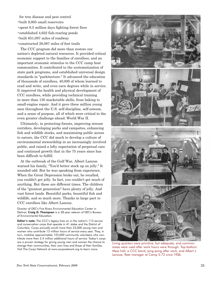- for tree disease and pest control •built 9,805 small reservoirs •spent 6.5 million days fighting forest fires •established 4,622 fish-rearing ponds •built 651,087 miles of roadway
- •constructed 28,087 miles of foot trails

The CCC program did more than restore our nation's depleted natural resources. It provided critical economic support to the families of enrollees, and an important economic stimulus to the CCC camp host communities. It contributed to the systematization of state park programs, and established universal design standards in "parkitecture." It advanced the education of thousands of enrollees, 40,000 of whom learned to read and write, and even earn degrees while in service. It improved the health and physical development of CCC enrollees, while providing technical training in more than 150 marketable skills, from baking to small-engine repair. And it gave three million young men throughout the U.S. self-discipline, self-esteem, and a sense of purpose, all of which were critical to the even greater challenge ahead: World War II.

Ultimately, in protecting forests, improving stream corridors, developing parks and campsites, enhancing fish and wildlife stocks, and maximizing public access to nature, the CCC did much to develop a culture of environmental stewardship in an increasingly involved public, and raised a lofty expectation of perpetual care and continued growth that in the 75 years since has been difficult to fulfill.

At the outbreak of the Gulf War, Albert Lanoue warned his family, "You'd better stock up on jelly." It sounded odd. But he was speaking from experience. When the Great Depression broke out, he recalled, you couldn't get jelly. In fact, you couldn't get much of anything. But these are different times. The children of the "greatest generation" have plenty of jelly. And vast forest lands. Beautiful parks, bountiful fish and wildlife, and so much more. Thanks in large part to CCC enrollees like Albert Lanoue.

Director of DEC's Five Rivers Environmental Education Center in Delmar, Craig D. Thompson is a 28-year veteran of DEC's Bureau of Environmental Education.

Editor's note: The CCC's legacy lives on in the nation's 113 service and conservation corps that operate in 41 states and the District of Columbia. Corps annually enroll more than 23,000 young men and women who contribute 13 million hours of service every year. They, in turn, mobilize approximately 125,000 community volunteers who contribute more than 2.4 million additional hours of service. Today's corps are a proven strategy for giving young men and women the chance to change their communities, their own lives and those of their families. Visit The Corps Network at <www.corpsnetwork.org>to learn more.



Living quarters were primitive, but adequate, and common areas were used after work hours were through. Top-bottom: Mess hall, a CCC band, ping-pong after work, and Albert J. Lanoue, fleet manager at Camp S-72 circa 1936.